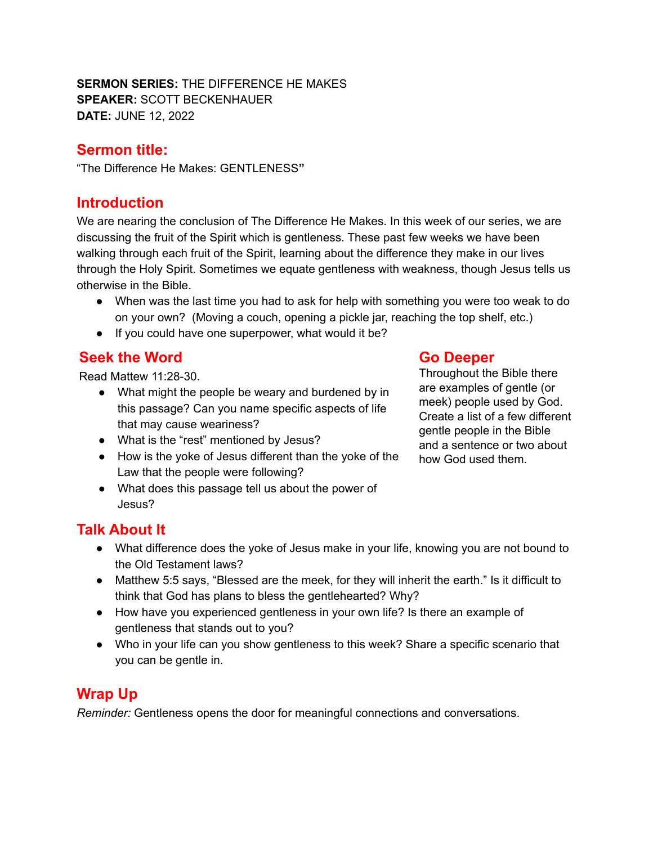**SERMON SERIES:** THE DIFFERENCE HE MAKES **SPEAKER:** SCOTT BECKENHAUER **DATE:** JUNE 12, 2022

## **Sermon title:**

"The Difference He Makes: GENTLENESS**"**

## **Introduction**

We are nearing the conclusion of The Difference He Makes. In this week of our series, we are discussing the fruit of the Spirit which is gentleness. These past few weeks we have been walking through each fruit of the Spirit, learning about the difference they make in our lives through the Holy Spirit. Sometimes we equate gentleness with weakness, though Jesus tells us otherwise in the Bible.

- When was the last time you had to ask for help with something you were too weak to do on your own? (Moving a couch, opening a pickle jar, reaching the top shelf, etc.)
- If you could have one superpower, what would it be?

## **Seek the Word**

Read Mattew 11:28-30.

- What might the people be weary and burdened by in this passage? Can you name specific aspects of life that may cause weariness?
- What is the "rest" mentioned by Jesus?
- How is the yoke of Jesus different than the yoke of the Law that the people were following?
- What does this passage tell us about the power of Jesus?

#### **Go Deeper**

Throughout the Bible there are examples of gentle (or meek) people used by God. Create a list of a few different gentle people in the Bible and a sentence or two about how God used them.

## **Talk About It**

- What difference does the yoke of Jesus make in your life, knowing you are not bound to the Old Testament laws?
- Matthew 5:5 says, "Blessed are the meek, for they will inherit the earth." Is it difficult to think that God has plans to bless the gentlehearted? Why?
- How have you experienced gentleness in your own life? Is there an example of gentleness that stands out to you?
- Who in your life can you show gentleness to this week? Share a specific scenario that you can be gentle in.

# **Wrap Up**

*Reminder:* Gentleness opens the door for meaningful connections and conversations.